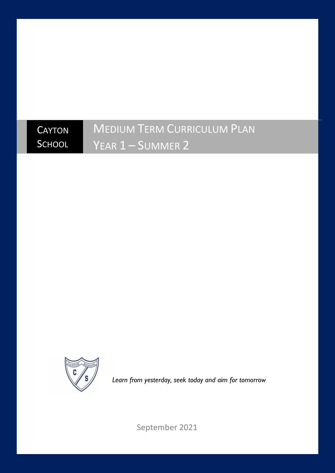## **CAYTON SCHOOL** MEDIUM TERM CURRICULUM PLAN YEAR 1 – SUMMER 2



*Learn from yesterday, seek today and aim for tomorrow*

September 2021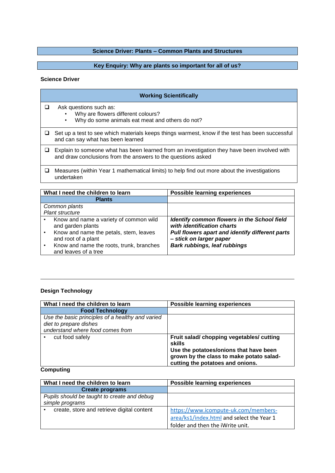# **Science Driver: Plants – Common Plants and Structures**

# **Key Enquiry: Why are plants so important for all of us?**

#### **Science Driver**

| <b>Working Scientifically</b>                                                                                                                               |  |
|-------------------------------------------------------------------------------------------------------------------------------------------------------------|--|
| Ask questions such as:<br>Why are flowers different colours?<br>Why do some animals eat meat and others do not?                                             |  |
| Set up a test to see which materials keeps things warmest, know if the test has been successful<br>and can say what has been learned                        |  |
| Explain to someone what has been learned from an investigation they have been involved with<br>and draw conclusions from the answers to the questions asked |  |
| Measures (within Year 1 mathematical limits) to help find out more about the investigations<br>undertaken                                                   |  |

| What I need the children to learn |                                                                                                                              | <b>Possible learning experiences</b>                                                                                                                    |
|-----------------------------------|------------------------------------------------------------------------------------------------------------------------------|---------------------------------------------------------------------------------------------------------------------------------------------------------|
|                                   | <b>Plants</b>                                                                                                                |                                                                                                                                                         |
|                                   | Common plants                                                                                                                |                                                                                                                                                         |
|                                   | <b>Plant structure</b>                                                                                                       |                                                                                                                                                         |
|                                   | Know and name a variety of common wild<br>and garden plants<br>Know and name the petals, stem, leaves<br>and root of a plant | Identify common flowers in the School field<br>with identification charts<br>Pull flowers apart and identify different parts<br>- stick on larger paper |
|                                   | Know and name the roots, trunk, branches<br>and leaves of a tree                                                             | Bark rubbings, leaf rubbings                                                                                                                            |

# **Design Technology**

| What I need the children to learn                | <b>Possible learning experiences</b>      |
|--------------------------------------------------|-------------------------------------------|
| <b>Food Technology</b>                           |                                           |
| Use the basic principles of a healthy and varied |                                           |
| diet to prepare dishes                           |                                           |
| understand where food comes from                 |                                           |
| cut food safely                                  | Fruit salad/ chopping vegetables/ cutting |
|                                                  | skills                                    |
|                                                  | Use the potatoes/onions that have been    |
|                                                  | grown by the class to make potato salad-  |
|                                                  | cutting the potatoes and onions.          |

# **Computing**

| What I need the children to learn           | <b>Possible learning experiences</b>      |
|---------------------------------------------|-------------------------------------------|
| <b>Create programs</b>                      |                                           |
| Pupils should be taught to create and debug |                                           |
| simple programs                             |                                           |
| create, store and retrieve digital content  | https://www.icompute-uk.com/members-      |
|                                             | area/ks1/index.html and select the Year 1 |
|                                             | folder and then the iWrite unit.          |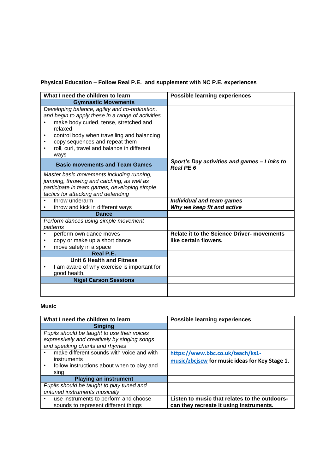# **Physical Education – Follow Real P.E. and supplement with NC P.E. experiences**

| What I need the children to learn                                                                   | <b>Possible learning experiences</b>                                |
|-----------------------------------------------------------------------------------------------------|---------------------------------------------------------------------|
| <b>Gymnastic Movements</b>                                                                          |                                                                     |
| Developing balance, agility and co-ordination,<br>and begin to apply these in a range of activities |                                                                     |
| make body curled, tense, stretched and<br>relaxed                                                   |                                                                     |
| control body when travelling and balancing<br>٠                                                     |                                                                     |
| copy sequences and repeat them<br>٠                                                                 |                                                                     |
| roll, curl, travel and balance in different                                                         |                                                                     |
| ways                                                                                                |                                                                     |
| <b>Basic movements and Team Games</b>                                                               | Sport's Day activities and games - Links to<br>Real PE <sub>6</sub> |
| Master basic movements including running,                                                           |                                                                     |
| jumping, throwing and catching, as well as                                                          |                                                                     |
| participate in team games, developing simple                                                        |                                                                     |
| tactics for attacking and defending<br>throw underarm<br>$\bullet$                                  |                                                                     |
| throw and kick in different ways                                                                    | Individual and team games<br>Why we keep fit and active             |
| <b>Dance</b>                                                                                        |                                                                     |
| Perform dances using simple movement                                                                |                                                                     |
| patterns                                                                                            |                                                                     |
| perform own dance moves                                                                             | <b>Relate it to the Science Driver- movements</b>                   |
| copy or make up a short dance                                                                       | like certain flowers.                                               |
| move safely in a space<br>٠                                                                         |                                                                     |
| Real P.E.                                                                                           |                                                                     |
| Unit 6 Health and Fitness                                                                           |                                                                     |
| I am aware of why exercise is important for                                                         |                                                                     |
| good health.                                                                                        |                                                                     |
| <b>Nigel Carson Sessions</b>                                                                        |                                                                     |
|                                                                                                     |                                                                     |
|                                                                                                     |                                                                     |

# **Music**

| What I need the children to learn            | <b>Possible learning experiences</b>           |
|----------------------------------------------|------------------------------------------------|
| <b>Singing</b>                               |                                                |
| Pupils should be taught to use their voices  |                                                |
| expressively and creatively by singing songs |                                                |
| and speaking chants and rhymes               |                                                |
| make different sounds with voice and with    | https://www.bbc.co.uk/teach/ks1-               |
| instruments                                  | music/zbcjscw for music ideas for Key Stage 1. |
| follow instructions about when to play and   |                                                |
| sing                                         |                                                |
| <b>Playing an instrument</b>                 |                                                |
| Pupils should be taught to play tuned and    |                                                |
| untuned instruments musically                |                                                |
| use instruments to perform and choose        | Listen to music that relates to the outdoors-  |
| sounds to represent different things         | can they recreate it using instruments.        |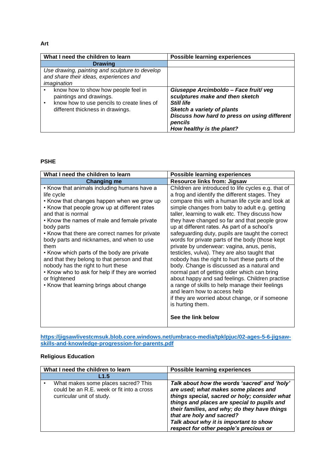#### **Art**

| What I need the children to learn                                                                                                                | <b>Possible learning experiences</b>                                                                                                                                                                        |
|--------------------------------------------------------------------------------------------------------------------------------------------------|-------------------------------------------------------------------------------------------------------------------------------------------------------------------------------------------------------------|
| <b>Drawing</b>                                                                                                                                   |                                                                                                                                                                                                             |
| Use drawing, painting and sculpture to develop<br>and share their ideas, experiences and<br>imagination                                          |                                                                                                                                                                                                             |
| know how to show how people feel in<br>paintings and drawings.<br>know how to use pencils to create lines of<br>different thickness in drawings. | Giuseppe Arcimboldo - Face fruit/veg<br>sculptures make and then sketch<br>Still life<br>Sketch a variety of plants<br>Discuss how hard to press on using different<br>pencils<br>How healthy is the plant? |

#### **PSHE**

| What I need the children to learn                                                                                                                                                                                                                                                                                                                                                                                                                                                                                                                                                                      | <b>Possible learning experiences</b>                                                                                                                                                                                                                                                                                                                                                                                                                                                                                                                                                                                                                                                                                                                                                                                                                                                                                                                    |
|--------------------------------------------------------------------------------------------------------------------------------------------------------------------------------------------------------------------------------------------------------------------------------------------------------------------------------------------------------------------------------------------------------------------------------------------------------------------------------------------------------------------------------------------------------------------------------------------------------|---------------------------------------------------------------------------------------------------------------------------------------------------------------------------------------------------------------------------------------------------------------------------------------------------------------------------------------------------------------------------------------------------------------------------------------------------------------------------------------------------------------------------------------------------------------------------------------------------------------------------------------------------------------------------------------------------------------------------------------------------------------------------------------------------------------------------------------------------------------------------------------------------------------------------------------------------------|
| <b>Changing me</b>                                                                                                                                                                                                                                                                                                                                                                                                                                                                                                                                                                                     | <b>Resource links from: Jigsaw</b>                                                                                                                                                                                                                                                                                                                                                                                                                                                                                                                                                                                                                                                                                                                                                                                                                                                                                                                      |
| • Know that animals including humans have a<br>life cycle<br>• Know that changes happen when we grow up<br>• Know that people grow up at different rates<br>and that is normal<br>• Know the names of male and female private<br>body parts<br>• Know that there are correct names for private<br>body parts and nicknames, and when to use<br>them<br>• Know which parts of the body are private<br>and that they belong to that person and that<br>nobody has the right to hurt these<br>• Know who to ask for help if they are worried<br>or frightened<br>• Know that learning brings about change | Children are introduced to life cycles e.g. that of<br>a frog and identify the different stages. They<br>compare this with a human life cycle and look at<br>simple changes from baby to adult e.g. getting<br>taller, learning to walk etc. They discuss how<br>they have changed so far and that people grow<br>up at different rates. As part of a school's<br>safeguarding duty, pupils are taught the correct<br>words for private parts of the body (those kept<br>private by underwear: vagina, anus, penis,<br>testicles, vulva). They are also taught that<br>nobody has the right to hurt these parts of the<br>body. Change is discussed as a natural and<br>normal part of getting older which can bring<br>about happy and sad feelings. Children practise<br>a range of skills to help manage their feelings<br>and learn how to access help<br>if they are worried about change, or if someone<br>is hurting them.<br>See the link below |

**[https://jigsawlivestcmsuk.blob.core.windows.net/umbraco-media/tpklpjuc/02-ages-5-6-jigsaw](https://jigsawlivestcmsuk.blob.core.windows.net/umbraco-media/tpklpjuc/02-ages-5-6-jigsaw-skills-and-knowledge-progression-for-parents.pdf)[skills-and-knowledge-progression-for-parents.pdf](https://jigsawlivestcmsuk.blob.core.windows.net/umbraco-media/tpklpjuc/02-ages-5-6-jigsaw-skills-and-knowledge-progression-for-parents.pdf)**

# **Religious Education**

| What I need the children to learn                                                                             | <b>Possible learning experiences</b>                                                                                                                                                                                                                                                                                                                  |
|---------------------------------------------------------------------------------------------------------------|-------------------------------------------------------------------------------------------------------------------------------------------------------------------------------------------------------------------------------------------------------------------------------------------------------------------------------------------------------|
| L1.5                                                                                                          |                                                                                                                                                                                                                                                                                                                                                       |
| What makes some places sacred? This<br>could be an R.E. week or fit into a cross<br>curricular unit of study. | Talk about how the words 'sacred' and 'holy'<br>are used; what makes some places and<br>things special, sacred or holy; consider what<br>things and places are special to pupils and<br>their families, and why; do they have things<br>that are holy and sacred?<br>Talk about why it is important to show<br>respect for other people's precious or |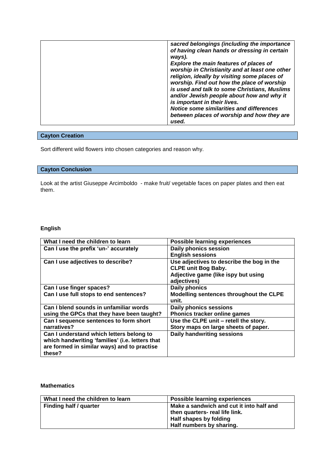| ways).<br><b>Explore the main features of places of</b><br>worship in Christianity and at least one other<br>religion, ideally by visiting some places of<br>worship. Find out how the place of worship<br>is used and talk to some Christians, Muslims |
|---------------------------------------------------------------------------------------------------------------------------------------------------------------------------------------------------------------------------------------------------------|
| and/or Jewish people about how and why it<br>is important in their lives.<br>Notice some similarities and differences<br>between places of worship and how they are<br>used.                                                                            |
|                                                                                                                                                                                                                                                         |

# **Cayton Creation**

Sort different wild flowers into chosen categories and reason why.

## **Cayton Conclusion**

Look at the artist Giuseppe Arcimboldo - make fruit/ vegetable faces on paper plates and then eat them.

# **English**

| What I need the children to learn               | <b>Possible learning experiences</b>      |
|-------------------------------------------------|-------------------------------------------|
| Can I use the prefix 'un-' accurately           | <b>Daily phonics session</b>              |
|                                                 | <b>English sessions</b>                   |
| Can I use adjectives to describe?               | Use adjectives to describe the bog in the |
|                                                 | <b>CLPE unit Bog Baby.</b>                |
|                                                 | Adjective game (like ispy but using       |
|                                                 | adjectives)                               |
| Can I use finger spaces?                        | <b>Daily phonics</b>                      |
| Can I use full stops to end sentences?          | Modelling sentences throughout the CLPE   |
|                                                 | unit.                                     |
| Can I blend sounds in unfamiliar words          | <b>Daily phonics sessions</b>             |
| using the GPCs that they have been taught?      | Phonics tracker online games              |
| Can I sequence sentences to form short          | Use the CLPE unit - retell the story.     |
| narratives?                                     | Story maps on large sheets of paper.      |
| Can I understand which letters belong to        | <b>Daily handwriting sessions</b>         |
| which handwriting 'families' (i.e. letters that |                                           |
| are formed in similar ways) and to practise     |                                           |
| these?                                          |                                           |

#### **Mathematics**

| What I need the children to learn | <b>Possible learning experiences</b>     |
|-----------------------------------|------------------------------------------|
| Finding half / quarter            | Make a sandwich and cut it into half and |
|                                   | then quarters- real life link.           |
|                                   | Half shapes by folding                   |
|                                   | Half numbers by sharing.                 |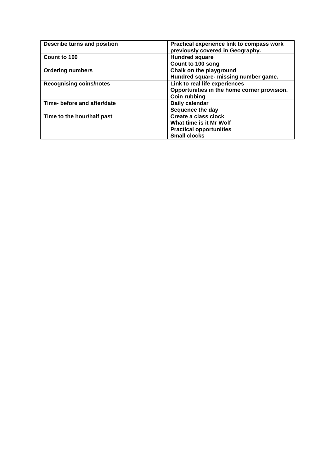| Describe turns and position    | Practical experience link to compass work<br>previously covered in Geography. |  |
|--------------------------------|-------------------------------------------------------------------------------|--|
| Count to 100                   | <b>Hundred square</b>                                                         |  |
|                                | Count to 100 song                                                             |  |
| <b>Ordering numbers</b>        | Chalk on the playground                                                       |  |
|                                | Hundred square- missing number game.                                          |  |
| <b>Recognising coins/notes</b> | Link to real life experiences                                                 |  |
|                                | Opportunities in the home corner provision.                                   |  |
|                                | <b>Coin rubbing</b>                                                           |  |
| Time- before and after/date    | Daily calendar                                                                |  |
|                                | Sequence the day                                                              |  |
| Time to the hour/half past     | Create a class clock                                                          |  |
|                                | What time is it Mr Wolf                                                       |  |
|                                | <b>Practical opportunities</b>                                                |  |
|                                | <b>Small clocks</b>                                                           |  |